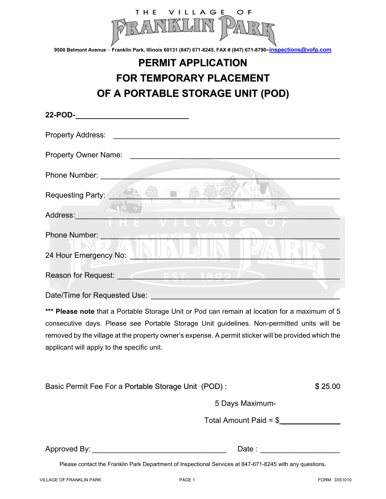

**9500 Belmont Avenue ٠ Franklin Park, Illinois 60131 (847) 671-8245, FAX # (847) 671-8790–inspections@vofp.com** 

## **PERMIT APPLICATION FOR TEMPORARY PLACEMENT OF A PORTABLE STORAGE UNIT (POD)**

| <b>Property Owner Name:</b> The Contract of the Contract of the Contract of the Contract of the Contract of the Contract of the Contract of the Contract of the Contract of the Contract of the Contract of the Contract of the Con  |
|--------------------------------------------------------------------------------------------------------------------------------------------------------------------------------------------------------------------------------------|
|                                                                                                                                                                                                                                      |
| Requesting Party:                                                                                                                                                                                                                    |
| Address: Andreas Address:<br>and the control of the con-                                                                                                                                                                             |
| Phone Number: <b>And Address of The Act of The Act of The Act of The Act of The Act of The Act of The Act of The Act of The Act of The Act of The Act of The Act of The Act of The Act of The Act of The Act of The Act of The A</b> |
| 24 Hour Emergency No: No.                                                                                                                                                                                                            |
| Reason for Request: $\sqrt{2}$ FST 1800 $\ell$                                                                                                                                                                                       |
| Date/Time for Requested Use:                                                                                                                                                                                                         |

**\*\*\* Please note** that a Portable Storage Unit or Pod can remain at location for a maximum of 5 consecutive days. Please see Portable Storage Unit guidelines. Non-permitted units will be removed by the village at the property owner's expense. A permit sticker will be provided which the applicant will apply to the specific unit.

|  | Basic Permit Fee For a Portable Storage Unit (POD): | \$25.00 |
|--|-----------------------------------------------------|---------|
|--|-----------------------------------------------------|---------|

5 Days Maximum-

Total Amount Paid = \$ \_\_\_\_\_\_\_\_\_\_\_\_\_\_

Approved By: \_\_\_\_\_\_\_\_\_\_\_\_\_\_\_\_\_\_\_\_\_\_\_\_\_\_\_\_\_\_\_\_ Date : \_\_\_\_\_\_\_\_\_\_\_\_\_\_\_\_\_\_\_

Please contact the Franklin Park Department of Inspectional Services at 847-671-8245 with any questions.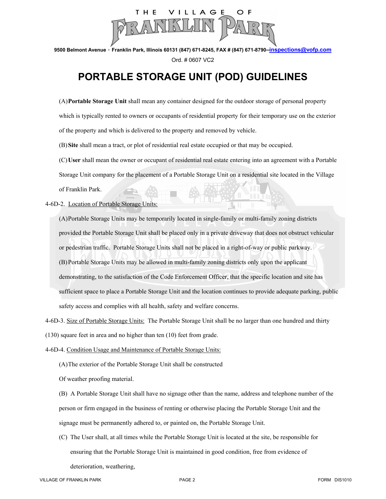

**9500 Belmont Avenue ٠ Franklin Park, Illinois 60131 (847) 671-8245, FAX # (847) 671-8790–inspections@vofp.com**  Ord. # 0607 VC2

## **PORTABLE STORAGE UNIT (POD) GUIDELINES**

(A) **Portable Storage Unit** shall mean any container designed for the outdoor storage of personal property which is typically rented to owners or occupants of residential property for their temporary use on the exterior of the property and which is delivered to the property and removed by vehicle.

(B) **Site** shall mean a tract, or plot of residential real estate occupied or that may be occupied.

(C) **User** shall mean the owner or occupant of residential real estate entering into an agreement with a Portable Storage Unit company for the placement of a Portable Storage Unit on a residential site located in the Village of Franklin Park.

4-6D-2. Location of Portable Storage Units:

(A) Portable Storage Units may be temporarily located in single-family or multi-family zoning districts provided the Portable Storage Unit shall be placed only in a private driveway that does not obstruct vehicular or pedestrian traffic. Portable Storage Units shall not be placed in a right-of-way or public parkway. (B) Portable Storage Units may be allowed in multi-family zoning districts only upon the applicant demonstrating, to the satisfaction of the Code Enforcement Officer, that the specific location and site has sufficient space to place a Portable Storage Unit and the location continues to provide adequate parking, public safety access and complies with all health, safety and welfare concerns.

4-6D-3. Size of Portable Storage Units: The Portable Storage Unit shall be no larger than one hundred and thirty

(130) square feet in area and no higher than ten (10) feet from grade.

- 4-6D-4. Condition Usage and Maintenance of Portable Storage Units:
	- (A) The exterior of the Portable Storage Unit shall be constructed

Of weather proofing material.

(B) A Portable Storage Unit shall have no signage other than the name, address and telephone number of the person or firm engaged in the business of renting or otherwise placing the Portable Storage Unit and the signage must be permanently adhered to, or painted on, the Portable Storage Unit.

(C) The User shall, at all times while the Portable Storage Unit is located at the site, be responsible for ensuring that the Portable Storage Unit is maintained in good condition, free from evidence of

deterioration, weathering,